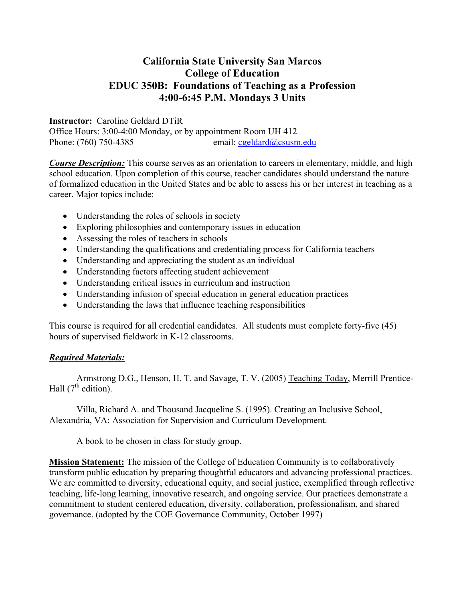# **California State University San Marcos College of Education EDUC 350B: Foundations of Teaching as a Profession 4:00-6:45 P.M. Mondays 3 Units**

#### **Instructor:** Caroline Geldard DTiR

Office Hours: 3:00-4:00 Monday, or by appointment Room UH 412 Phone: (760) 750-4385 email: cgeldard@csusm.edu

*Course Description:* This course serves as an orientation to careers in elementary, middle, and high school education. Upon completion of this course, teacher candidates should understand the nature of formalized education in the United States and be able to assess his or her interest in teaching as a career. Major topics include:

- Understanding the roles of schools in society
- Exploring philosophies and contemporary issues in education
- Assessing the roles of teachers in schools
- Understanding the qualifications and credentialing process for California teachers
- Understanding and appreciating the student as an individual
- Understanding factors affecting student achievement
- Understanding critical issues in curriculum and instruction
- Understanding infusion of special education in general education practices
- Understanding the laws that influence teaching responsibilities

This course is required for all credential candidates. All students must complete forty-five (45) hours of supervised fieldwork in K-12 classrooms.

#### *Required Materials:*

 Armstrong D.G., Henson, H. T. and Savage, T. V. (2005) Teaching Today, Merrill Prentice-Hall  $(7^{th}$  edition).

 Villa, Richard A. and Thousand Jacqueline S. (1995). Creating an Inclusive School, Alexandria, VA: Association for Supervision and Curriculum Development.

A book to be chosen in class for study group.

**Mission Statement:** The mission of the College of Education Community is to collaboratively transform public education by preparing thoughtful educators and advancing professional practices. We are committed to diversity, educational equity, and social justice, exemplified through reflective teaching, life-long learning, innovative research, and ongoing service. Our practices demonstrate a commitment to student centered education, diversity, collaboration, professionalism, and shared governance. (adopted by the COE Governance Community, October 1997)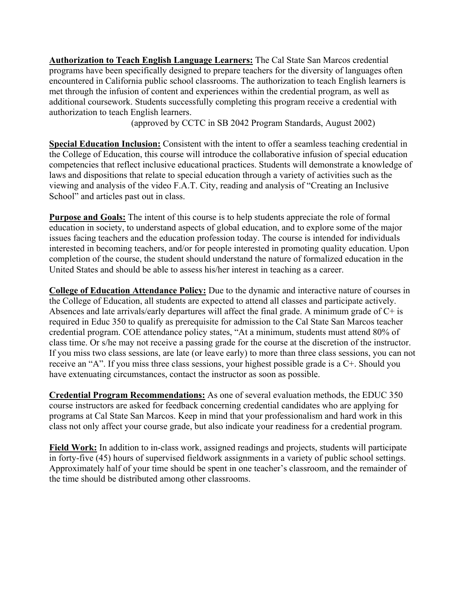**Authorization to Teach English Language Learners:** The Cal State San Marcos credential programs have been specifically designed to prepare teachers for the diversity of languages often encountered in California public school classrooms. The authorization to teach English learners is met through the infusion of content and experiences within the credential program, as well as additional coursework. Students successfully completing this program receive a credential with authorization to teach English learners.

(approved by CCTC in SB 2042 Program Standards, August 2002)

**Special Education Inclusion:** Consistent with the intent to offer a seamless teaching credential in the College of Education, this course will introduce the collaborative infusion of special education competencies that reflect inclusive educational practices. Students will demonstrate a knowledge of laws and dispositions that relate to special education through a variety of activities such as the viewing and analysis of the video F.A.T. City, reading and analysis of "Creating an Inclusive School" and articles past out in class.

**Purpose and Goals:** The intent of this course is to help students appreciate the role of formal education in society, to understand aspects of global education, and to explore some of the major issues facing teachers and the education profession today. The course is intended for individuals interested in becoming teachers, and/or for people interested in promoting quality education. Upon completion of the course, the student should understand the nature of formalized education in the United States and should be able to assess his/her interest in teaching as a career.

**College of Education Attendance Policy:** Due to the dynamic and interactive nature of courses in the College of Education, all students are expected to attend all classes and participate actively. Absences and late arrivals/early departures will affect the final grade. A minimum grade of  $C+$  is required in Educ 350 to qualify as prerequisite for admission to the Cal State San Marcos teacher credential program. COE attendance policy states, "At a minimum, students must attend 80% of class time. Or s/he may not receive a passing grade for the course at the discretion of the instructor. If you miss two class sessions, are late (or leave early) to more than three class sessions, you can not receive an "A". If you miss three class sessions, your highest possible grade is a C+. Should you have extenuating circumstances, contact the instructor as soon as possible.

**Credential Program Recommendations:** As one of several evaluation methods, the EDUC 350 course instructors are asked for feedback concerning credential candidates who are applying for programs at Cal State San Marcos. Keep in mind that your professionalism and hard work in this class not only affect your course grade, but also indicate your readiness for a credential program.

**Field Work:** In addition to in-class work, assigned readings and projects, students will participate in forty-five (45) hours of supervised fieldwork assignments in a variety of public school settings. Approximately half of your time should be spent in one teacher's classroom, and the remainder of the time should be distributed among other classrooms.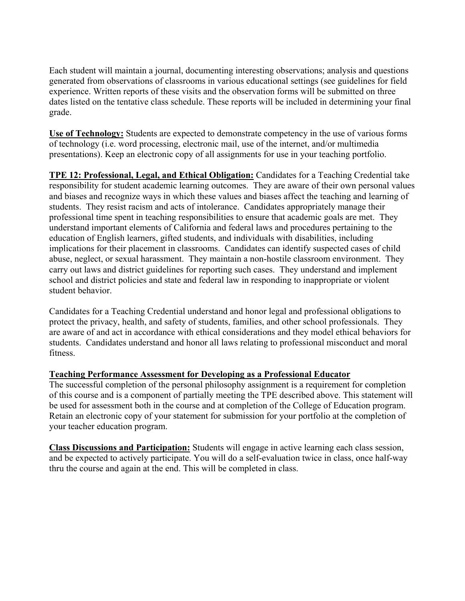Each student will maintain a journal, documenting interesting observations; analysis and questions generated from observations of classrooms in various educational settings (see guidelines for field experience. Written reports of these visits and the observation forms will be submitted on three dates listed on the tentative class schedule. These reports will be included in determining your final grade.

**Use of Technology:** Students are expected to demonstrate competency in the use of various forms of technology (i.e. word processing, electronic mail, use of the internet, and/or multimedia presentations). Keep an electronic copy of all assignments for use in your teaching portfolio.

**TPE 12: Professional, Legal, and Ethical Obligation:** Candidates for a Teaching Credential take responsibility for student academic learning outcomes. They are aware of their own personal values and biases and recognize ways in which these values and biases affect the teaching and learning of students. They resist racism and acts of intolerance. Candidates appropriately manage their professional time spent in teaching responsibilities to ensure that academic goals are met. They understand important elements of California and federal laws and procedures pertaining to the education of English learners, gifted students, and individuals with disabilities, including implications for their placement in classrooms. Candidates can identify suspected cases of child abuse, neglect, or sexual harassment. They maintain a non-hostile classroom environment. They carry out laws and district guidelines for reporting such cases. They understand and implement school and district policies and state and federal law in responding to inappropriate or violent student behavior.

Candidates for a Teaching Credential understand and honor legal and professional obligations to protect the privacy, health, and safety of students, families, and other school professionals. They are aware of and act in accordance with ethical considerations and they model ethical behaviors for students. Candidates understand and honor all laws relating to professional misconduct and moral fitness.

## **Teaching Performance Assessment for Developing as a Professional Educator**

The successful completion of the personal philosophy assignment is a requirement for completion of this course and is a component of partially meeting the TPE described above. This statement will be used for assessment both in the course and at completion of the College of Education program. Retain an electronic copy of your statement for submission for your portfolio at the completion of your teacher education program.

**Class Discussions and Participation:** Students will engage in active learning each class session, and be expected to actively participate. You will do a self-evaluation twice in class, once half-way thru the course and again at the end. This will be completed in class.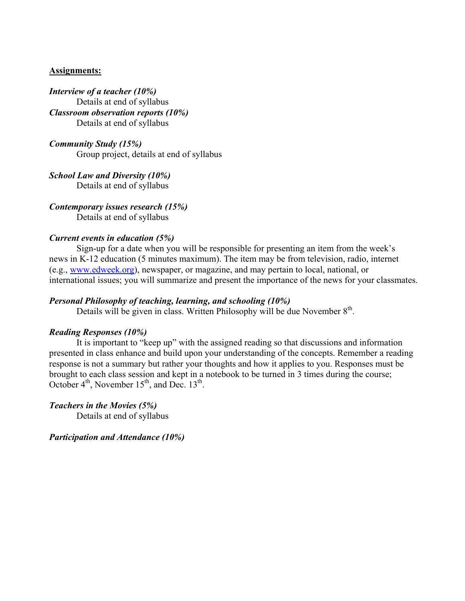#### **Assignments:**

*Interview of a teacher (10%)*  Details at end of syllabus *Classroom observation reports (10%)*  Details at end of syllabus

*Community Study (15%)*  Group project, details at end of syllabus

*School Law and Diversity (10%)*  Details at end of syllabus

*Contemporary issues research (15%)*  Details at end of syllabus

#### *Current events in education (5%)*

Sign-up for a date when you will be responsible for presenting an item from the week's news in K-12 education (5 minutes maximum). The item may be from television, radio, internet (e.g., www.edweek.org), newspaper, or magazine, and may pertain to local, national, or international issues; you will summarize and present the importance of the news for your classmates.

#### *Personal Philosophy of teaching, learning, and schooling (10%)*

Details will be given in class. Written Philosophy will be due November 8<sup>th</sup>.

#### *Reading Responses (10%)*

 It is important to "keep up" with the assigned reading so that discussions and information presented in class enhance and build upon your understanding of the concepts. Remember a reading response is not a summary but rather your thoughts and how it applies to you. Responses must be brought to each class session and kept in a notebook to be turned in 3 times during the course; October  $4<sup>th</sup>$ , November  $15<sup>th</sup>$ , and Dec.  $13<sup>th</sup>$ .

*Teachers in the Movies (5%)*  Details at end of syllabus

*Participation and Attendance (10%)*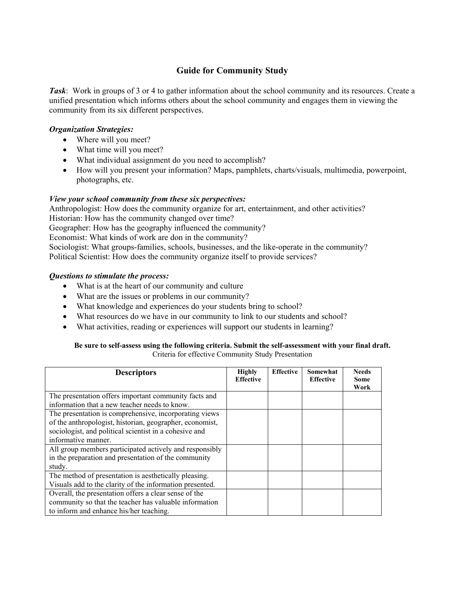## **Guide for Community Study**

*Task*: Work in groups of 3 or 4 to gather information about the school community and its resources. Create a unified presentation which informs others about the school community and engages them in viewing the community from its six different perspectives.

#### *Organization Strategies:*

- Where will you meet?
- What time will you meet?
- What individual assignment do you need to accomplish?
- How will you present your information? Maps, pamphlets, charts/visuals, multimedia, powerpoint, photographs, etc.

#### *View your school community from these six perspectives:*

Anthropologist: How does the community organize for art, entertainment, and other activities? Historian: How has the community changed over time? Geographer: How has the geography influenced the community?

Economist: What kinds of work are don in the community?

Sociologist: What groups-families, schools, businesses, and the like-operate in the community? Political Scientist: How does the community organize itself to provide services?

#### *Questions to stimulate the process:*

- What is at the heart of our community and culture
- What are the issues or problems in our community?
- What knowledge and experiences do your students bring to school?
- What resources do we have in our community to link to our students and school?
- What activities, reading or experiences will support our students in learning?

#### **Be sure to self-assess using the following criteria. Submit the self-assessment with your final draft.**  Criteria for effective Community Study Presentation

| <b>Descriptors</b>                                       | <b>Highly</b><br><b>Effective</b> | <b>Effective</b> | Somewhat<br><b>Effective</b> | <b>Needs</b><br>Some<br>Work |
|----------------------------------------------------------|-----------------------------------|------------------|------------------------------|------------------------------|
| The presentation offers important community facts and    |                                   |                  |                              |                              |
| information that a new teacher needs to know.            |                                   |                  |                              |                              |
| The presentation is comprehensive, incorporating views   |                                   |                  |                              |                              |
| of the anthropologist, historian, geographer, economist, |                                   |                  |                              |                              |
| sociologist, and political scientist in a cohesive and   |                                   |                  |                              |                              |
| informative manner.                                      |                                   |                  |                              |                              |
| All group members participated actively and responsibly  |                                   |                  |                              |                              |
| in the preparation and presentation of the community     |                                   |                  |                              |                              |
| study.                                                   |                                   |                  |                              |                              |
| The method of presentation is aesthetically pleasing.    |                                   |                  |                              |                              |
| Visuals add to the clarity of the information presented. |                                   |                  |                              |                              |
| Overall, the presentation offers a clear sense of the    |                                   |                  |                              |                              |
| community so that the teacher has valuable information   |                                   |                  |                              |                              |
| to inform and enhance his/her teaching.                  |                                   |                  |                              |                              |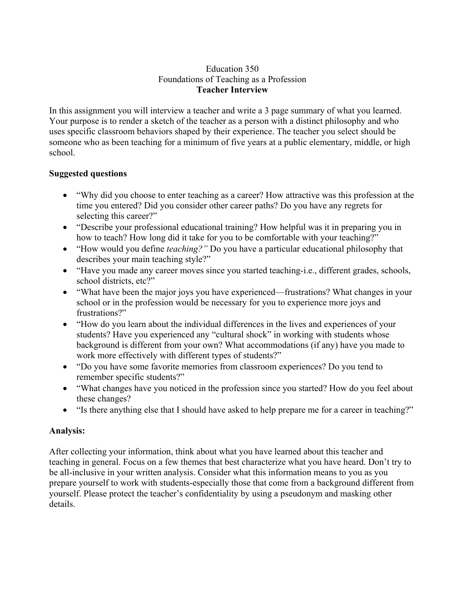#### Education 350 Foundations of Teaching as a Profession **Teacher Interview**

In this assignment you will interview a teacher and write a 3 page summary of what you learned. Your purpose is to render a sketch of the teacher as a person with a distinct philosophy and who uses specific classroom behaviors shaped by their experience. The teacher you select should be someone who as been teaching for a minimum of five years at a public elementary, middle, or high school.

## **Suggested questions**

- "Why did you choose to enter teaching as a career? How attractive was this profession at the time you entered? Did you consider other career paths? Do you have any regrets for selecting this career?"
- "Describe your professional educational training? How helpful was it in preparing you in how to teach? How long did it take for you to be comfortable with your teaching?"
- "How would you define *teaching?"* Do you have a particular educational philosophy that describes your main teaching style?"
- "Have you made any career moves since you started teaching-i.e., different grades, schools, school districts, etc?"
- "What have been the major joys you have experienced—frustrations? What changes in your school or in the profession would be necessary for you to experience more joys and frustrations?"
- "How do you learn about the individual differences in the lives and experiences of your students? Have you experienced any "cultural shock" in working with students whose background is different from your own? What accommodations (if any) have you made to work more effectively with different types of students?"
- "Do you have some favorite memories from classroom experiences? Do you tend to remember specific students?"
- "What changes have you noticed in the profession since you started? How do you feel about these changes?
- "Is there anything else that I should have asked to help prepare me for a career in teaching?"

# **Analysis:**

After collecting your information, think about what you have learned about this teacher and teaching in general. Focus on a few themes that best characterize what you have heard. Don't try to be all-inclusive in your written analysis. Consider what this information means to you as you prepare yourself to work with students-especially those that come from a background different from yourself. Please protect the teacher's confidentiality by using a pseudonym and masking other details.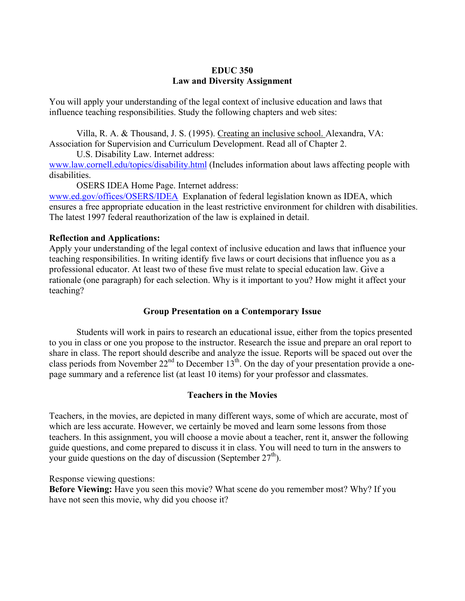#### **EDUC 350 Law and Diversity Assignment**

You will apply your understanding of the legal context of inclusive education and laws that influence teaching responsibilities. Study the following chapters and web sites:

Villa, R. A. & Thousand, J. S. (1995). Creating an inclusive school. Alexandra, VA: Association for Supervision and Curriculum Development. Read all of Chapter 2.

U.S. Disability Law. Internet address: www.law.cornell.edu/topics/disability.html (Includes information about laws affecting people with disabilities.

OSERS IDEA Home Page. Internet address:

www.ed.gov/offices/OSERS/IDEA Explanation of federal legislation known as IDEA, which ensures a free appropriate education in the least restrictive environment for children with disabilities. The latest 1997 federal reauthorization of the law is explained in detail.

#### **Reflection and Applications:**

Apply your understanding of the legal context of inclusive education and laws that influence your teaching responsibilities. In writing identify five laws or court decisions that influence you as a professional educator. At least two of these five must relate to special education law. Give a rationale (one paragraph) for each selection. Why is it important to you? How might it affect your teaching?

## **Group Presentation on a Contemporary Issue**

 Students will work in pairs to research an educational issue, either from the topics presented to you in class or one you propose to the instructor. Research the issue and prepare an oral report to share in class. The report should describe and analyze the issue. Reports will be spaced out over the class periods from November  $22<sup>nd</sup>$  to December  $13<sup>th</sup>$ . On the day of your presentation provide a onepage summary and a reference list (at least 10 items) for your professor and classmates.

## **Teachers in the Movies**

Teachers, in the movies, are depicted in many different ways, some of which are accurate, most of which are less accurate. However, we certainly be moved and learn some lessons from those teachers. In this assignment, you will choose a movie about a teacher, rent it, answer the following guide questions, and come prepared to discuss it in class. You will need to turn in the answers to your guide questions on the day of discussion (September  $27<sup>th</sup>$ ).

Response viewing questions:

**Before Viewing:** Have you seen this movie? What scene do you remember most? Why? If you have not seen this movie, why did you choose it?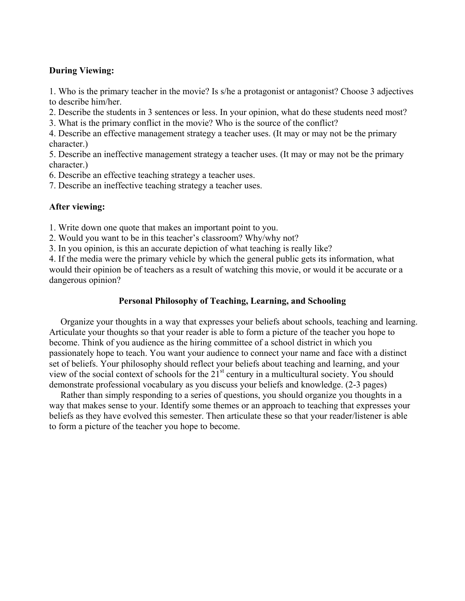## **During Viewing:**

1. Who is the primary teacher in the movie? Is s/he a protagonist or antagonist? Choose 3 adjectives to describe him/her.

2. Describe the students in 3 sentences or less. In your opinion, what do these students need most?

3. What is the primary conflict in the movie? Who is the source of the conflict?

4. Describe an effective management strategy a teacher uses. (It may or may not be the primary character.)

5. Describe an ineffective management strategy a teacher uses. (It may or may not be the primary character.)

6. Describe an effective teaching strategy a teacher uses.

7. Describe an ineffective teaching strategy a teacher uses.

## **After viewing:**

1. Write down one quote that makes an important point to you.

2. Would you want to be in this teacher's classroom? Why/why not?

3. In you opinion, is this an accurate depiction of what teaching is really like?

4. If the media were the primary vehicle by which the general public gets its information, what would their opinion be of teachers as a result of watching this movie, or would it be accurate or a dangerous opinion?

# **Personal Philosophy of Teaching, Learning, and Schooling**

 Organize your thoughts in a way that expresses your beliefs about schools, teaching and learning. Articulate your thoughts so that your reader is able to form a picture of the teacher you hope to become. Think of you audience as the hiring committee of a school district in which you passionately hope to teach. You want your audience to connect your name and face with a distinct set of beliefs. Your philosophy should reflect your beliefs about teaching and learning, and your view of the social context of schools for the 21st century in a multicultural society. You should demonstrate professional vocabulary as you discuss your beliefs and knowledge. (2-3 pages)

 Rather than simply responding to a series of questions, you should organize you thoughts in a way that makes sense to your. Identify some themes or an approach to teaching that expresses your beliefs as they have evolved this semester. Then articulate these so that your reader/listener is able to form a picture of the teacher you hope to become.